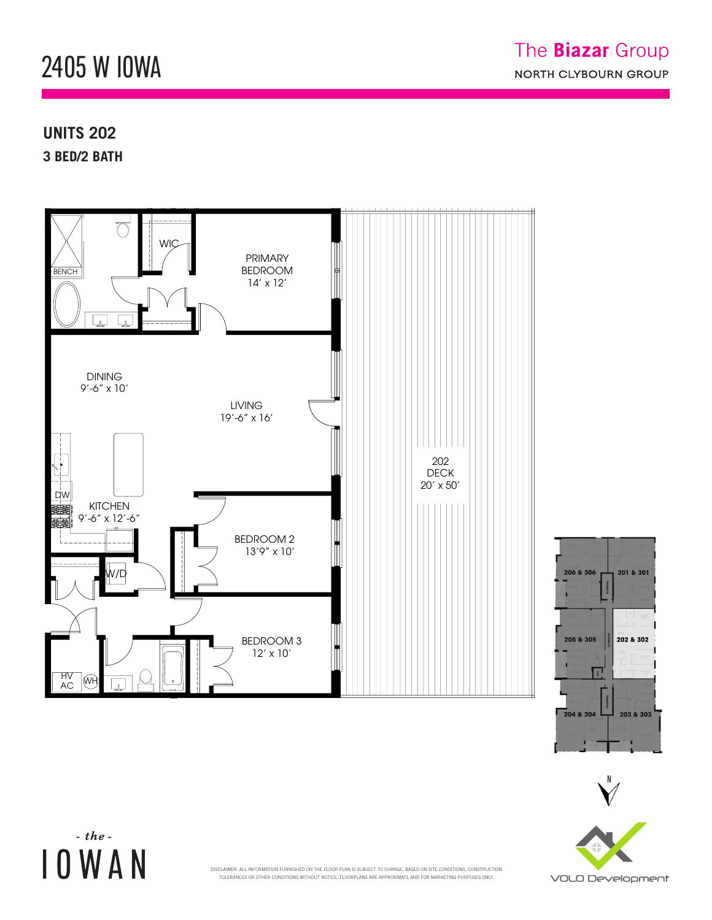## 2405 W IOWA  $242$  M. FUMVV 2405 W. IOWA ST.

D

## **UNITS 202** AC

**3 BED/2 BATH** 

 $\sim$  the  $\sim$ 

**IOWAN** 









TOLERANCES OR OTHER CONDITIONS WITHOUT NOTICE. FLOORPLANS ARE APPROXIMATE AND FOR MARKETING PURPOSES ONLY. .<br>DISCLAIMER: ALL INFORMATION FURNISHED ON THE FLOOR PLAN IS SUBJECT TO CHANGE, BASED ON SITE CONDITIONS, CONSTRUCTION